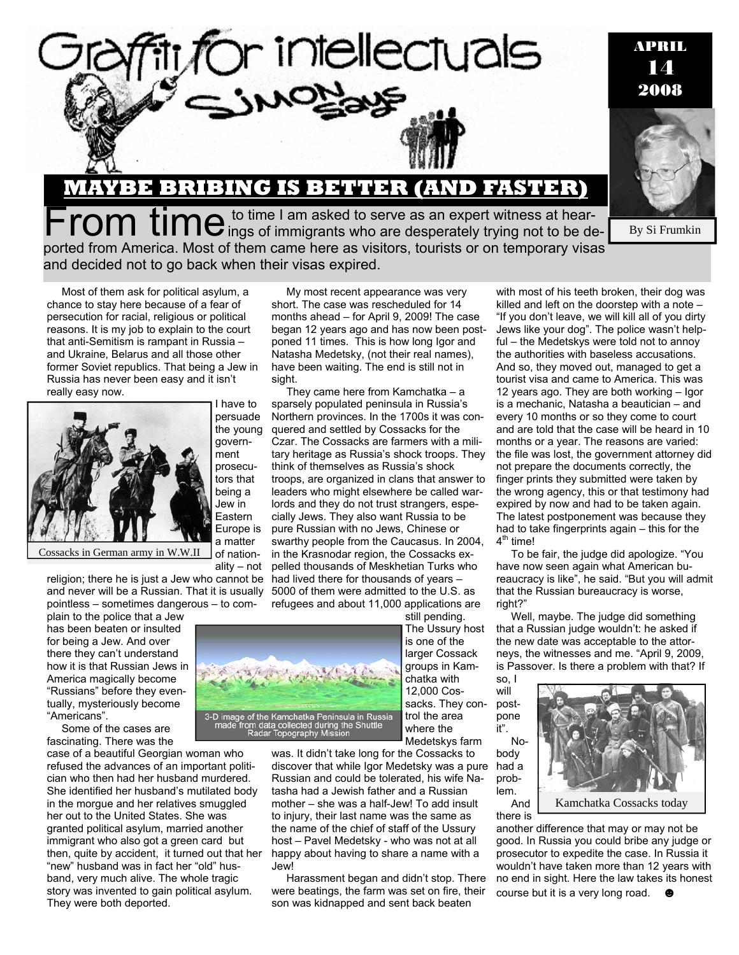

## **MAYBE BRIBING IS BETTER (AND FASTER)**

From time I am asked to serve as an expert witness at hear-<br>From time ings of immigrants who are desperately trying not to be deported from America. Most of them came here as visitors, tourists or on temporary visas and decided not to go back when their visas expired.

By Si Frumkin

APRIL 14 2008

Most of them ask for political asylum, a chance to stay here because of a fear of persecution for racial, religious or political reasons. It is my job to explain to the court that anti-Semitism is rampant in Russia – and Ukraine, Belarus and all those other former Soviet republics. That being a Jew in Russia has never been easy and it isn't really easy now.



Cossacks in German army in W.W.II

ality – not religion; there he is just a Jew who cannot be and never will be a Russian. That it is usually pointless – sometimes dangerous – to com-

plain to the police that a Jew has been beaten or insulted for being a Jew. And over there they can't understand how it is that Russian Jews in America magically become "Russians" before they eventually, mysteriously become "Americans".

Some of the cases are fascinating. There was the

case of a beautiful Georgian woman who refused the advances of an important politician who then had her husband murdered. She identified her husband's mutilated body in the morgue and her relatives smuggled her out to the United States. She was granted political asylum, married another immigrant who also got a green card but then, quite by accident, it turned out that her "new" husband was in fact her "old" husband, very much alive. The whole tragic story was invented to gain political asylum. They were both deported.

My most recent appearance was very short. The case was rescheduled for 14 months ahead – for April 9, 2009! The case began 12 years ago and has now been postponed 11 times. This is how long Igor and Natasha Medetsky, (not their real names), have been waiting. The end is still not in sight.

They came here from Kamchatka – a sparsely populated peninsula in Russia's Northern provinces. In the 1700s it was conquered and settled by Cossacks for the Czar. The Cossacks are farmers with a military heritage as Russia's shock troops. They think of themselves as Russia's shock troops, are organized in clans that answer to leaders who might elsewhere be called warlords and they do not trust strangers, especially Jews. They also want Russia to be pure Russian with no Jews, Chinese or swarthy people from the Caucasus. In 2004, in the Krasnodar region, the Cossacks expelled thousands of Meskhetian Turks who had lived there for thousands of years – 5000 of them were admitted to the U.S. as



of nation-

where the Medetskys farm was. It didn't take long for the Cossacks to discover that while Igor Medetsky was a pure had a Russian and could be tolerated, his wife Natasha had a Jewish father and a Russian mother – she was a half-Jew! To add insult to injury, their last name was the same as the name of the chief of staff of the Ussury host – Pavel Medetsky - who was not at all happy about having to share a name with a Jew!

Harassment began and didn't stop. There were beatings, the farm was set on fire, their son was kidnapped and sent back beaten

with most of his teeth broken, their dog was killed and left on the doorstep with a note – "If you don't leave, we will kill all of you dirty Jews like your dog". The police wasn't helpful – the Medetskys were told not to annoy the authorities with baseless accusations. And so, they moved out, managed to get a tourist visa and came to America. This was 12 years ago. They are both working – Igor is a mechanic, Natasha a beautician – and every 10 months or so they come to court and are told that the case will be heard in 10 months or a year. The reasons are varied: the file was lost, the government attorney did not prepare the documents correctly, the finger prints they submitted were taken by the wrong agency, this or that testimony had expired by now and had to be taken again. The latest postponement was because they had to take fingerprints again – this for the  $4<sup>th</sup>$  time!

To be fair, the judge did apologize. "You have now seen again what American bureaucracy is like", he said. "But you will admit that the Russian bureaucracy is worse, right?"

Well, maybe. The judge did something that a Russian judge wouldn't: he asked if the new date was acceptable to the attorneys, the witnesses and me. "April 9, 2009, is Passover. Is there a problem with that? If

so, I will postpone it".

Nobody problem.



another difference that may or may not be good. In Russia you could bribe any judge or prosecutor to expedite the case. In Russia it wouldn't have taken more than 12 years with no end in sight. Here the law takes its honest course but it is a very long road. ●



trol the area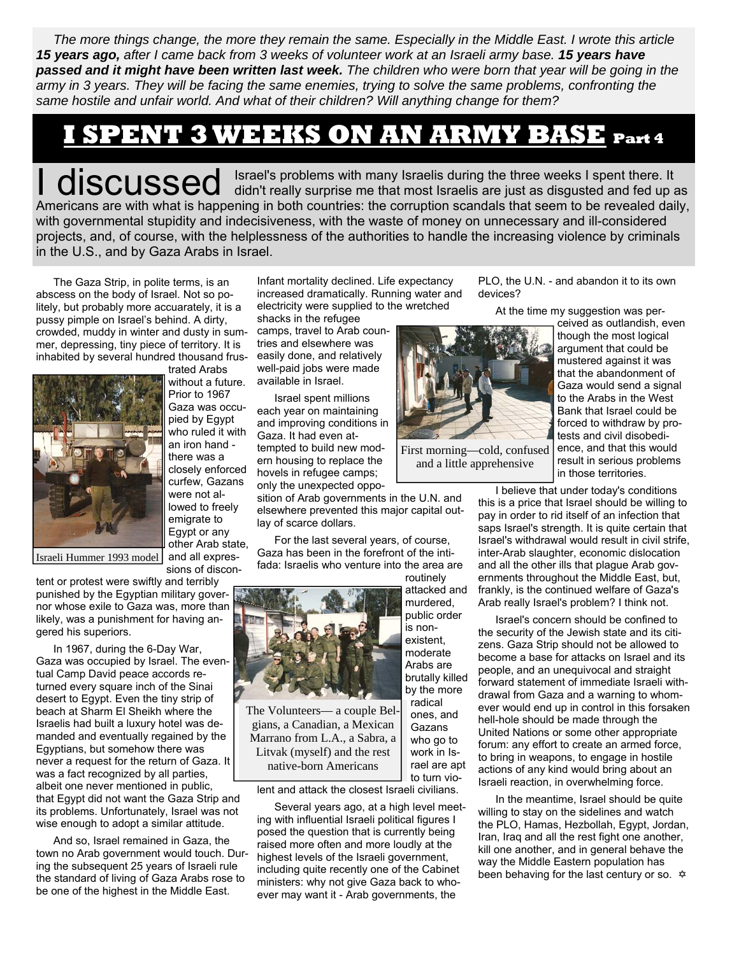*The more things change, the more they remain the same. Especially in the Middle East. I wrote this article 15 years ago, after I came back from 3 weeks of volunteer work at an Israeli army base. 15 years have passed and it might have been written last week. The children who were born that year will be going in the army in 3 years. They will be facing the same enemies, trying to solve the same problems, confronting the same hostile and unfair world. And what of their children? Will anything change for them?* 

## **I SPENT 3 WEEKS ON AN ARMY BASE Part 4**

discussed Israel's problems with many Israelis during the three weeks I spent there. It didn't really surprise me that most Israelis are just as disgusted and fed up as Americans are with what is happening in both countries: the corruption scandals that seem to be revealed daily, with governmental stupidity and indecisiveness, with the waste of money on unnecessary and ill-considered projects, and, of course, with the helplessness of the authorities to handle the increasing violence by criminals in the U.S., and by Gaza Arabs in Israel.

The Gaza Strip, in polite terms, is an abscess on the body of Israel. Not so politely, but probably more accuarately, it is a pussy pimple on Israel's behind. A dirty, crowded, muddy in winter and dusty in summer, depressing, tiny piece of territory. It is inhabited by several hundred thousand frus-



trated Arabs without a future. Prior to 1967 Gaza was occupied by Egypt who ruled it with an iron hand there was a closely enforced curfew, Gazans were not allowed to freely emigrate to Egypt or any other Arab state, sions of discon-

Israeli Hummer 1993 model and all expres-

tent or protest were swiftly and terribly punished by the Egyptian military governor whose exile to Gaza was, more than likely, was a punishment for having angered his superiors.

In 1967, during the 6-Day War, Gaza was occupied by Israel. The eventual Camp David peace accords returned every square inch of the Sinai desert to Egypt. Even the tiny strip of beach at Sharm El Sheikh where the Israelis had built a luxury hotel was demanded and eventually regained by the Egyptians, but somehow there was never a request for the return of Gaza. It was a fact recognized by all parties, albeit one never mentioned in public, that Egypt did not want the Gaza Strip and its problems. Unfortunately, Israel was not wise enough to adopt a similar attitude.

And so, Israel remained in Gaza, the town no Arab government would touch. During the subsequent 25 years of Israeli rule the standard of living of Gaza Arabs rose to be one of the highest in the Middle East.

Infant mortality declined. Life expectancy increased dramatically. Running water and electricity were supplied to the wretched

shacks in the refugee camps, travel to Arab countries and elsewhere was easily done, and relatively well-paid jobs were made available in Israel.

Israel spent millions each year on maintaining and improving conditions in Gaza. It had even attempted to build new modern housing to replace the hovels in refugee camps; only the unexpected oppo-

sition of Arab governments in the U.N. and elsewhere prevented this major capital outlay of scarce dollars.

For the last several years, of course, Gaza has been in the forefront of the intifada: Israelis who venture into the area are



The Volunteers— a couple Belgians, a Canadian, a Mexican Marrano from L.A., a Sabra, a Litvak (myself) and the rest native-born Americans

lent and attack the closest Israeli civilians.

Several years ago, at a high level meeting with influential Israeli political figures I posed the question that is currently being raised more often and more loudly at the highest levels of the Israeli government, including quite recently one of the Cabinet ministers: why not give Gaza back to whoever may want it - Arab governments, the

PLO, the U.N. - and abandon it to its own devices? At the time my suggestion was per-

ceived as outlandish, even

though the most logical argument that could be mustered against it was that the abandonment of Gaza would send a signal to the Arabs in the West Bank that Israel could be forced to withdraw by protests and civil disobedience, and that this would result in serious problems in those territories.

I believe that under today's conditions this is a price that Israel should be willing to pay in order to rid itself of an infection that saps Israel's strength. It is quite certain that Israel's withdrawal would result in civil strife, inter-Arab slaughter, economic dislocation and all the other ills that plague Arab governments throughout the Middle East, but, frankly, is the continued welfare of Gaza's Arab really Israel's problem? I think not.

Israel's concern should be confined to the security of the Jewish state and its citizens. Gaza Strip should not be allowed to become a base for attacks on Israel and its people, and an unequivocal and straight forward statement of immediate Israeli withdrawal from Gaza and a warning to whomever would end up in control in this forsaken hell-hole should be made through the United Nations or some other appropriate forum: any effort to create an armed force, to bring in weapons, to engage in hostile actions of any kind would bring about an Israeli reaction, in overwhelming force.

In the meantime, Israel should be quite willing to stay on the sidelines and watch the PLO, Hamas, Hezbollah, Egypt, Jordan, Iran, Iraq and all the rest fight one another, kill one another, and in general behave the way the Middle Eastern population has been behaving for the last century or so.  $\Leftrightarrow$ 



First morning—cold, confused and a little apprehensive

routinely

radical ones, and Gazans who go to work in Israel are apt to turn vio-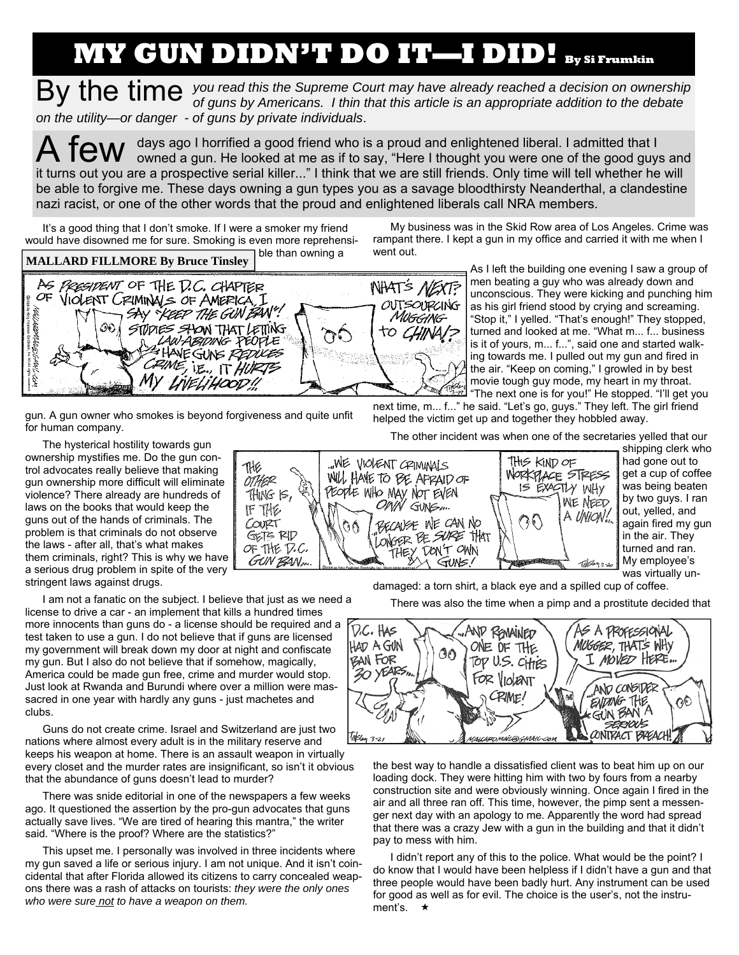## **MY GUN DIDN'T DO IT—I DID! By Si Frumkin**

By the time *you read this the Supreme Court may have already reached a decision on ownership*<br>By the time of guns by Americans. I thin that this article is an appropriate addition to the debate *on the utility—or danger - of guns by private individuals*.

A few days ago I horrified a good friend who is a proud and enlightened liberal. I admitted that I when a gun. He looked at me as if to say, "Here I thought you were one of the good guys and it turns out you are a prospective serial killer..." I think that we are still friends. Only time will tell whether he will be able to forgive me. These days owning a gun types you as a savage bloodthirsty Neanderthal, a clandestine nazi racist, or one of the other words that the proud and enlightened liberals call NRA members.

NHAT'S NEXT?

OUTSOURCING

MUGGING

It's a good thing that I don't smoke. If I were a smoker my friend would have disowned me for sure. Smoking is even more reprehensible than owning a

SAY KEEP THE GUN BAN!

STUDIES SHOW THAT LETTING

My business was in the Skid Row area of Los Angeles. Crime was rampant there. I kept a gun in my office and carried it with me when I went out.

As I left the building one evening I saw a group of men beating a guy who was already down and unconscious. They were kicking and punching him as his girl friend stood by crying and screaming. "Stop it," I yelled. "That's enough!" They stopped, turned and looked at me. "What m... f... business is it of yours, m... f...", said one and started walking towards me. I pulled out my gun and fired in the air. "Keep on coming," I growled in by best movie tough guy mode, my heart in my throat. "The next one is for you!" He stopped. "I'll get you

next time, m... f..." he said. "Let's go, guys." They left. The girl friend helped the victim get up and together they hobbled away.

The other incident was when one of the secretaries yelled that our



shipping clerk who had gone out to get a cup of coffee was being beaten by two guys. I ran out, yelled, and again fired my gun in the air. They turned and ran. My employee's was virtually un-

stringent laws against drugs.

I am not a fanatic on the subject. I believe that just as we need a license to drive a car - an implement that kills a hundred times more innocents than guns do - a license should be required and a test taken to use a gun. I do not believe that if guns are licensed my government will break down my door at night and confiscate my gun. But I also do not believe that if somehow, magically, America could be made gun free, crime and murder would stop. Just look at Rwanda and Burundi where over a million were massacred in one year with hardly any guns - just machetes and clubs.

Guns do not create crime. Israel and Switzerland are just two nations where almost every adult is in the military reserve and keeps his weapon at home. There is an assault weapon in virtually every closet and the murder rates are insignificant, so isn't it obvious that the abundance of guns doesn't lead to murder?

There was snide editorial in one of the newspapers a few weeks ago. It questioned the assertion by the pro-gun advocates that guns actually save lives. "We are tired of hearing this mantra," the writer said. "Where is the proof? Where are the statistics?"

This upset me. I personally was involved in three incidents where my gun saved a life or serious injury. I am not unique. And it isn't coincidental that after Florida allowed its citizens to carry concealed weapons there was a rash of attacks on tourists: *they were the only ones who were sure not to have a weapon on them.* 

damaged: a torn shirt, a black eye and a spilled cup of coffee.

There was also the time when a pimp and a prostitute decided that



the best way to handle a dissatisfied client was to beat him up on our loading dock. They were hitting him with two by fours from a nearby construction site and were obviously winning. Once again I fired in the air and all three ran off. This time, however, the pimp sent a messenger next day with an apology to me. Apparently the word had spread that there was a crazy Jew with a gun in the building and that it didn't pay to mess with him.

I didn't report any of this to the police. What would be the point? I do know that I would have been helpless if I didn't have a gun and that three people would have been badly hurt. Any instrument can be used for good as well as for evil. The choice is the user's, not the instrument's.  $\star$ 

to *CHINA/>* **گار**ي LAW-ABIDING PEOPLE HAVE GUNS REQUES CRIME, IE., IT HURTS My LiveLiHOOD!! mm Tikke

gun. A gun owner who smokes is beyond forgiveness and quite unfit for human company.

The hysterical hostility towards gun ownership mystifies me. Do the gun control advocates really believe that making gun ownership more difficult will eliminate violence? There already are hundreds of laws on the books that would keep the guns out of the hands of criminals. The problem is that criminals do not observe the laws - after all, that's what makes them criminals, right? This is why we have a serious drug problem in spite of the very

**MALLARD FILLMORE By Bruce Tinsley** 

 $\partial \Theta$ 

AG

 $OF$ 

MALAEPAAL<u>io</u>l

PRESIDENT OF THE D.C. CHAPTER

VIOLENT CRIMINALS OF AMERICA, I